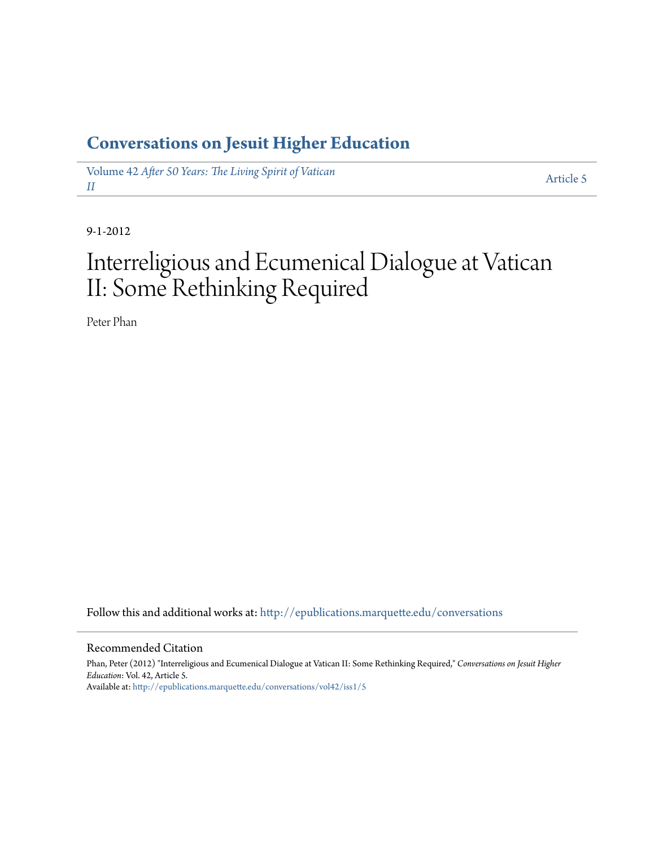## **[Conversations on Jesuit Higher Education](http://epublications.marquette.edu/conversations?utm_source=epublications.marquette.edu%2Fconversations%2Fvol42%2Fiss1%2F5&utm_medium=PDF&utm_campaign=PDFCoverPages)**

Volume 42 *[After 50 Years: The Living Spirit of Vatican](http://epublications.marquette.edu/conversations/vol42?utm_source=epublications.marquette.edu%2Fconversations%2Fvol42%2Fiss1%2F5&utm_medium=PDF&utm_campaign=PDFCoverPages) [II](http://epublications.marquette.edu/conversations/vol42?utm_source=epublications.marquette.edu%2Fconversations%2Fvol42%2Fiss1%2F5&utm_medium=PDF&utm_campaign=PDFCoverPages)*

[Article 5](http://epublications.marquette.edu/conversations/vol42/iss1/5?utm_source=epublications.marquette.edu%2Fconversations%2Fvol42%2Fiss1%2F5&utm_medium=PDF&utm_campaign=PDFCoverPages)

9-1-2012

## Interreligious and Ecumenical Dialogue at Vatican II: Some Rethinking Required

Peter Phan

Follow this and additional works at: [http://epublications.marquette.edu/conversations](http://epublications.marquette.edu/conversations?utm_source=epublications.marquette.edu%2Fconversations%2Fvol42%2Fiss1%2F5&utm_medium=PDF&utm_campaign=PDFCoverPages)

#### Recommended Citation

Phan, Peter (2012) "Interreligious and Ecumenical Dialogue at Vatican II: Some Rethinking Required," *Conversations on Jesuit Higher Education*: Vol. 42, Article 5. Available at: [http://epublications.marquette.edu/conversations/vol42/iss1/5](http://epublications.marquette.edu/conversations/vol42/iss1/5?utm_source=epublications.marquette.edu%2Fconversations%2Fvol42%2Fiss1%2F5&utm_medium=PDF&utm_campaign=PDFCoverPages)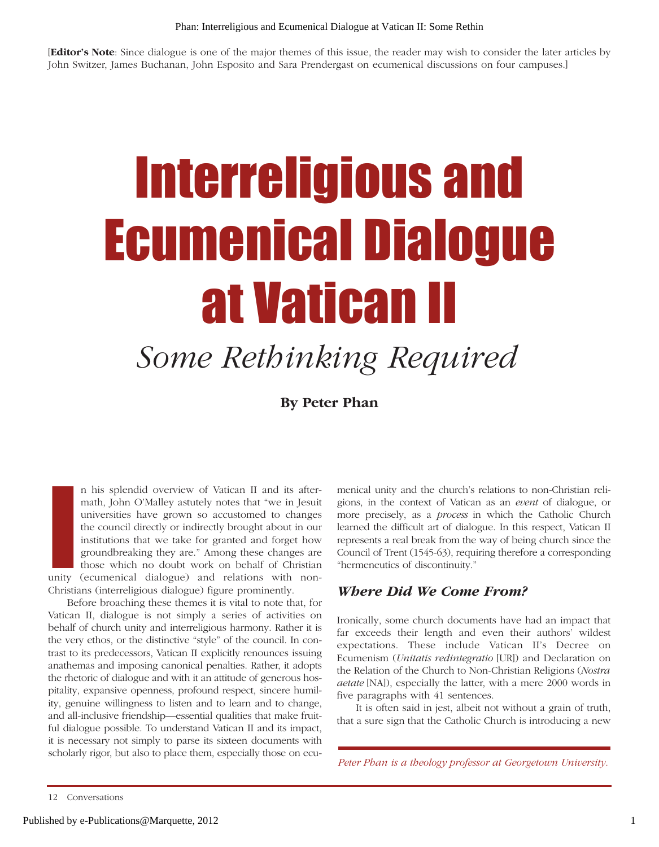[**Editor's Note**: Since dialogue is one of the major themes of this issue, the reader may wish to consider the later articles by John Switzer, James Buchanan, John Esposito and Sara Prendergast on ecumenical discussions on four campuses.]

# Interreligious and Ecumenical Dialogue at Vatican II

# *Some Rethinking Required*

**By Peter Phan**

**I**<br>Inity n his splendid overview of Vatican II and its aftermath, John O'Malley astutely notes that "we in Jesuit universities have grown so accustomed to changes the council directly or indirectly brought about in our institutions that we take for granted and forget how groundbreaking they are." Among these changes are those which no doubt work on behalf of Christian unity (ecumenical dialogue) and relations with non-Christians (interreligious dialogue) figure prominently.

Before broaching these themes it is vital to note that, for Vatican II, dialogue is not simply a series of activities on behalf of church unity and interreligious harmony. Rather it is the very ethos, or the distinctive "style" of the council. In contrast to its predecessors, Vatican II explicitly renounces issuing anathemas and imposing canonical penalties. Rather, it adopts the rhetoric of dialogue and with it an attitude of generous hospitality, expansive openness, profound respect, sincere humility, genuine willingness to listen and to learn and to change, and all-inclusive friendship—essential qualities that make fruitful dialogue possible. To understand Vatican II and its impact, it is necessary not simply to parse its sixteen documents with scholarly rigor, but also to place them, especially those on ecumenical unity and the church's relations to non-Christian religions, in the context of Vatican as an *event* of dialogue, or more precisely, as a *process* in which the Catholic Church learned the difficult art of dialogue. In this respect, Vatican II represents a real break from the way of being church since the Council of Trent (1545-63), requiring therefore a corresponding "hermeneutics of discontinuity."

### *Where Did We Come From?*

Ironically, some church documents have had an impact that far exceeds their length and even their authors' wildest expectations. These include Vatican II's Decree on Ecumenism (*Unitatis redintegratio* [UR]) and Declaration on the Relation of the Church to Non-Christian Religions (*Nostra aetate* [NA]), especially the latter, with a mere 2000 words in five paragraphs with 41 sentences.

It is often said in jest, albeit not without a grain of truth, that a sure sign that the Catholic Church is introducing a new

*Peter Phan is a theology professor at Georgetown University.*

<sup>12</sup> Conversations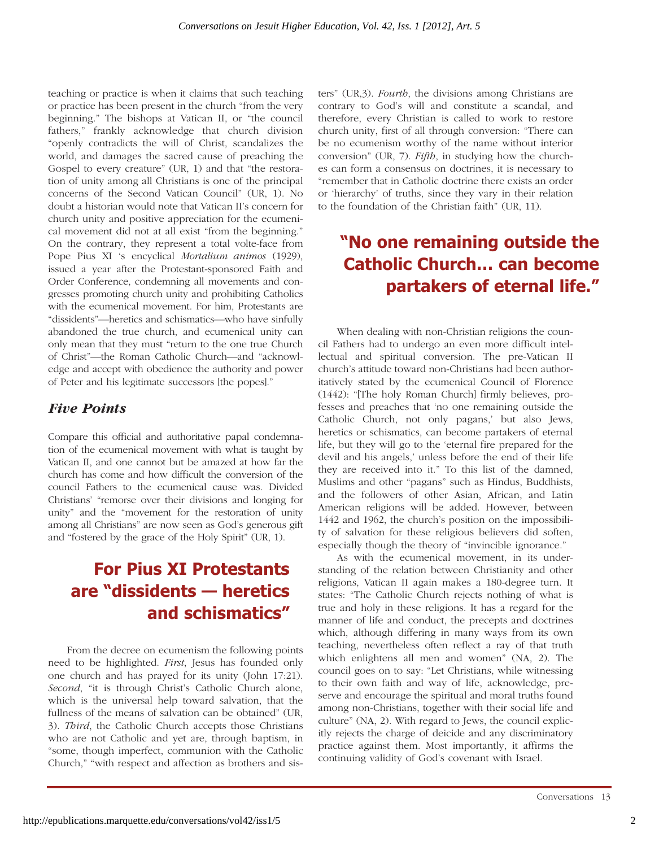teaching or practice is when it claims that such teaching or practice has been present in the church "from the very beginning." The bishops at Vatican II, or "the council fathers," frankly acknowledge that church division "openly contradicts the will of Christ, scandalizes the world, and damages the sacred cause of preaching the Gospel to every creature" (UR, 1) and that "the restoration of unity among all Christians is one of the principal concerns of the Second Vatican Council" (UR, 1). No doubt a historian would note that Vatican II's concern for church unity and positive appreciation for the ecumenical movement did not at all exist "from the beginning." On the contrary, they represent a total volte-face from Pope Pius XI 's encyclical *Mortalium animos* (1929), issued a year after the Protestant-sponsored Faith and Order Conference, condemning all movements and congresses promoting church unity and prohibiting Catholics with the ecumenical movement. For him, Protestants are "dissidents"—heretics and schismatics—who have sinfully abandoned the true church, and ecumenical unity can only mean that they must "return to the one true Church of Christ"—the Roman Catholic Church—and "acknowledge and accept with obedience the authority and power of Peter and his legitimate successors [the popes]."

## *Five Points*

Compare this official and authoritative papal condemnation of the ecumenical movement with what is taught by Vatican II, and one cannot but be amazed at how far the church has come and how difficult the conversion of the council Fathers to the ecumenical cause was. Divided Christians' "remorse over their divisions and longing for unity" and the "movement for the restoration of unity among all Christians" are now seen as God's generous gift and "fostered by the grace of the Holy Spirit" (UR, 1).

## **For Pius XI Protestants are "dissidents — heretics and schismatics"**

From the decree on ecumenism the following points need to be highlighted. *First*, Jesus has founded only one church and has prayed for its unity (John 17:21). *Second*, "it is through Christ's Catholic Church alone, which is the universal help toward salvation, that the fullness of the means of salvation can be obtained" (UR, 3). *Third*, the Catholic Church accepts those Christians who are not Catholic and yet are, through baptism, in "some, though imperfect, communion with the Catholic Church," "with respect and affection as brothers and sisters" (UR,3). *Fourth*, the divisions among Christians are contrary to God's will and constitute a scandal, and therefore, every Christian is called to work to restore church unity, first of all through conversion: "There can be no ecumenism worthy of the name without interior conversion" (UR, 7). *Fifth*, in studying how the churches can form a consensus on doctrines, it is necessary to "remember that in Catholic doctrine there exists an order or 'hierarchy' of truths, since they vary in their relation to the foundation of the Christian faith" (UR, 11).

## **"No one remaining outside the Catholic Church… can become partakers of eternal life."**

When dealing with non-Christian religions the council Fathers had to undergo an even more difficult intellectual and spiritual conversion. The pre-Vatican II church's attitude toward non-Christians had been authoritatively stated by the ecumenical Council of Florence (1442): "[The holy Roman Church] firmly believes, professes and preaches that 'no one remaining outside the Catholic Church, not only pagans,' but also Jews, heretics or schismatics, can become partakers of eternal life, but they will go to the 'eternal fire prepared for the devil and his angels,' unless before the end of their life they are received into it." To this list of the damned, Muslims and other "pagans" such as Hindus, Buddhists, and the followers of other Asian, African, and Latin American religions will be added. However, between 1442 and 1962, the church's position on the impossibility of salvation for these religious believers did soften, especially though the theory of "invincible ignorance."

As with the ecumenical movement, in its understanding of the relation between Christianity and other religions, Vatican II again makes a 180-degree turn. It states: "The Catholic Church rejects nothing of what is true and holy in these religions. It has a regard for the manner of life and conduct, the precepts and doctrines which, although differing in many ways from its own teaching, nevertheless often reflect a ray of that truth which enlightens all men and women" (NA, 2). The council goes on to say: "Let Christians, while witnessing to their own faith and way of life, acknowledge, preserve and encourage the spiritual and moral truths found among non-Christians, together with their social life and culture" (NA, 2). With regard to Jews, the council explicitly rejects the charge of deicide and any discriminatory practice against them. Most importantly, it affirms the continuing validity of God's covenant with Israel.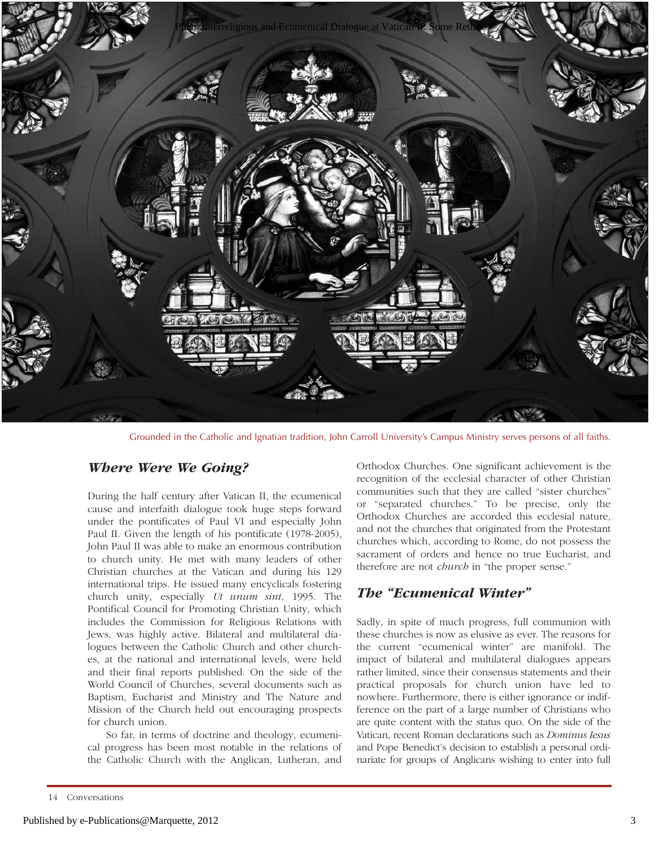

Grounded in the Catholic and Ignatian tradition, John Carroll University's Campus Ministry serves persons of all faiths.

### *Where Were We Going?*

During the half century after Vatican II, the ecumenical cause and interfaith dialogue took huge steps forward under the pontificates of Paul VI and especially John Paul II. Given the length of his pontificate (1978-2005), John Paul II was able to make an enormous contribution to church unity. He met with many leaders of other Christian churches at the Vatican and during his 129 international trips. He issued many encyclicals fostering church unity, especially *Ut unum sint*, 1995. The Pontifical Council for Promoting Christian Unity, which includes the Commission for Religious Relations with Jews, was highly active. Bilateral and multilateral dialogues between the Catholic Church and other churches, at the national and international levels, were held and their final reports published*.* On the side of the World Council of Churches, several documents such as Baptism, Eucharist and Ministry and The Nature and Mission of the Church held out encouraging prospects for church union.

So far, in terms of doctrine and theology, ecumenical progress has been most notable in the relations of the Catholic Church with the Anglican, Lutheran, and

Orthodox Churches. One significant achievement is the recognition of the ecclesial character of other Christian communities such that they are called "sister churches" or "separated churches." To be precise, only the Orthodox Churches are accorded this ecclesial nature, and not the churches that originated from the Protestant churches which, according to Rome, do not possess the sacrament of orders and hence no true Eucharist, and therefore are not *church* in "the proper sense."

## *The "Ecumenical Winter"*

Sadly, in spite of much progress, full communion with these churches is now as elusive as ever. The reasons for the current "ecumenical winter" are manifold. The impact of bilateral and multilateral dialogues appears rather limited, since their consensus statements and their practical proposals for church union have led to nowhere. Furthermore, there is either ignorance or indifference on the part of a large number of Christians who are quite content with the status quo. On the side of the Vatican, recent Roman declarations such as *Dominus Iesus* and Pope Benedict's decision to establish a personal ordinariate for groups of Anglicans wishing to enter into full

<sup>14</sup> Conversations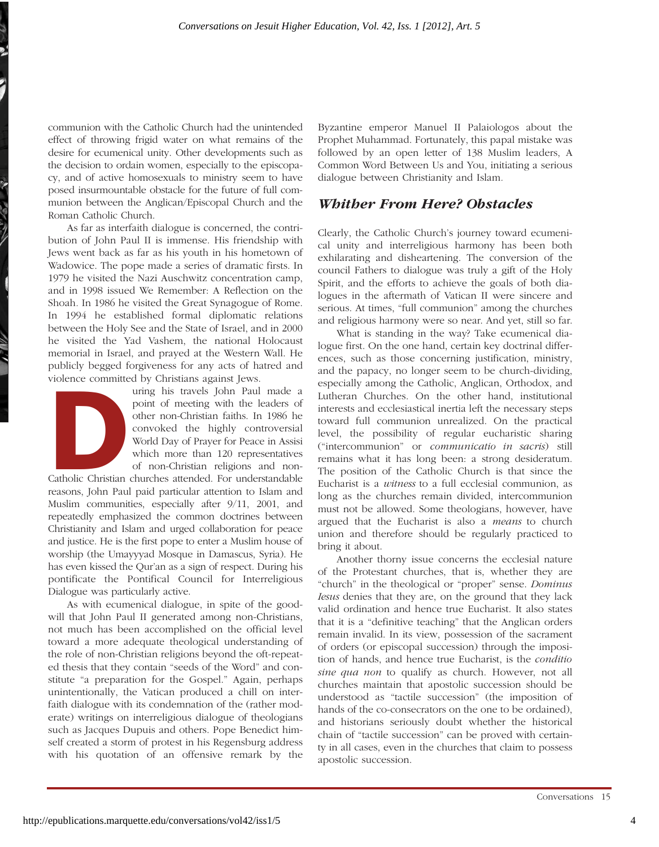communion with the Catholic Church had the unintended effect of throwing frigid water on what remains of the desire for ecumenical unity. Other developments such as the decision to ordain women, especially to the episcopacy, and of active homosexuals to ministry seem to have posed insurmountable obstacle for the future of full communion between the Anglican/Episcopal Church and the Roman Catholic Church.

As far as interfaith dialogue is concerned, the contribution of John Paul II is immense. His friendship with Jews went back as far as his youth in his hometown of Wadowice. The pope made a series of dramatic firsts. In 1979 he visited the Nazi Auschwitz concentration camp, and in 1998 issued We Remember: A Reflection on the Shoah*.* In 1986 he visited the Great Synagogue of Rome. In 1994 he established formal diplomatic relations between the Holy See and the State of Israel, and in 2000 he visited the Yad Vashem, the national Holocaust memorial in Israel, and prayed at the Western Wall. He publicly begged forgiveness for any acts of hatred and violence committed by Christians against Jews.



Figure 19 Juneau a game your.<br>
uring his travels John Paul made a<br>
point of meeting with the leaders of<br>
other non-Christian faiths. In 1986 he<br>
convoked the highly controversial<br>
World Day of Prayer for Peace in Assisi<br>
w point of meeting with the leaders of other non-Christian faiths. In 1986 he convoked the highly controversial World Day of Prayer for Peace in Assisi which more than 120 representatives of non-Christian religions and non-

Catholic Christian churches attended. For understandable reasons, John Paul paid particular attention to Islam and Muslim communities, especially after 9/11, 2001, and repeatedly emphasized the common doctrines between Christianity and Islam and urged collaboration for peace and justice. He is the first pope to enter a Muslim house of worship (the Umayyyad Mosque in Damascus, Syria). He has even kissed the Qur'an as a sign of respect. During his pontificate the Pontifical Council for Interreligious Dialogue was particularly active.

As with ecumenical dialogue, in spite of the goodwill that John Paul II generated among non-Christians, not much has been accomplished on the official level toward a more adequate theological understanding of the role of non-Christian religions beyond the oft-repeated thesis that they contain "seeds of the Word" and constitute "a preparation for the Gospel." Again, perhaps unintentionally, the Vatican produced a chill on interfaith dialogue with its condemnation of the (rather moderate) writings on interreligious dialogue of theologians such as Jacques Dupuis and others. Pope Benedict himself created a storm of protest in his Regensburg address with his quotation of an offensive remark by the

Byzantine emperor Manuel II Palaiologos about the Prophet Muhammad. Fortunately, this papal mistake was followed by an open letter of 138 Muslim leaders, A Common Word Between Us and You, initiating a serious dialogue between Christianity and Islam*.* 

#### *Whither From Here? Obstacles*

Clearly, the Catholic Church's journey toward ecumenical unity and interreligious harmony has been both exhilarating and disheartening. The conversion of the council Fathers to dialogue was truly a gift of the Holy Spirit, and the efforts to achieve the goals of both dialogues in the aftermath of Vatican II were sincere and serious. At times, "full communion" among the churches and religious harmony were so near. And yet, still so far.

What is standing in the way? Take ecumenical dialogue first. On the one hand, certain key doctrinal differences, such as those concerning justification, ministry, and the papacy, no longer seem to be church-dividing, especially among the Catholic, Anglican, Orthodox, and Lutheran Churches. On the other hand, institutional interests and ecclesiastical inertia left the necessary steps toward full communion unrealized. On the practical level, the possibility of regular eucharistic sharing ("intercommunion" or *communicatio in sacris*) still remains what it has long been: a strong desideratum. The position of the Catholic Church is that since the Eucharist is a *witness* to a full ecclesial communion, as long as the churches remain divided, intercommunion must not be allowed. Some theologians, however, have argued that the Eucharist is also a *means* to church union and therefore should be regularly practiced to bring it about.

Another thorny issue concerns the ecclesial nature of the Protestant churches, that is, whether they are "church" in the theological or "proper" sense. *Dominus Iesus* denies that they are, on the ground that they lack valid ordination and hence true Eucharist. It also states that it is a "definitive teaching" that the Anglican orders remain invalid. In its view, possession of the sacrament of orders (or episcopal succession) through the imposition of hands, and hence true Eucharist, is the *conditio sine qua non* to qualify as church. However, not all churches maintain that apostolic succession should be understood as "tactile succession" (the imposition of hands of the co-consecrators on the one to be ordained), and historians seriously doubt whether the historical chain of "tactile succession" can be proved with certainty in all cases, even in the churches that claim to possess apostolic succession.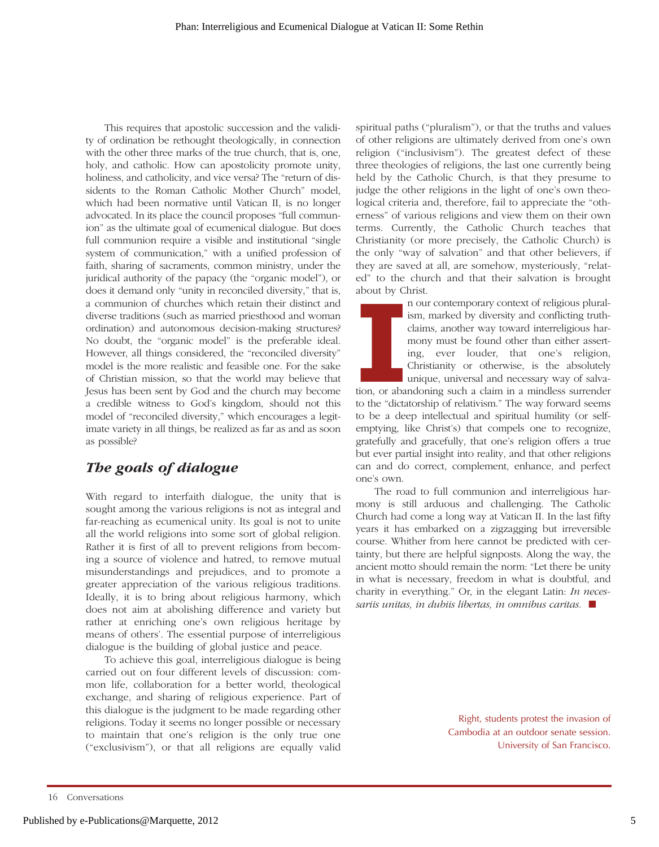This requires that apostolic succession and the validity of ordination be rethought theologically, in connection with the other three marks of the true church, that is, one, holy, and catholic. How can apostolicity promote unity, holiness, and catholicity, and vice versa? The "return of dissidents to the Roman Catholic Mother Church" model, which had been normative until Vatican II, is no longer advocated. In its place the council proposes "full communion" as the ultimate goal of ecumenical dialogue. But does full communion require a visible and institutional "single system of communication," with a unified profession of faith, sharing of sacraments, common ministry, under the juridical authority of the papacy (the "organic model"), or does it demand only "unity in reconciled diversity," that is, a communion of churches which retain their distinct and diverse traditions (such as married priesthood and woman ordination) and autonomous decision-making structures? No doubt, the "organic model" is the preferable ideal. However, all things considered, the "reconciled diversity" model is the more realistic and feasible one. For the sake of Christian mission, so that the world may believe that Jesus has been sent by God and the church may become a credible witness to God's kingdom, should not this model of "reconciled diversity," which encourages a legitimate variety in all things, be realized as far as and as soon as possible?

## *The goals of dialogue*

With regard to interfaith dialogue, the unity that is sought among the various religions is not as integral and far-reaching as ecumenical unity. Its goal is not to unite all the world religions into some sort of global religion. Rather it is first of all to prevent religions from becoming a source of violence and hatred, to remove mutual misunderstandings and prejudices, and to promote a greater appreciation of the various religious traditions. Ideally, it is to bring about religious harmony, which does not aim at abolishing difference and variety but rather at enriching one's own religious heritage by means of others'. The essential purpose of interreligious dialogue is the building of global justice and peace.

To achieve this goal, interreligious dialogue is being carried out on four different levels of discussion: common life, collaboration for a better world, theological exchange, and sharing of religious experience. Part of this dialogue is the judgment to be made regarding other religions. Today it seems no longer possible or necessary to maintain that one's religion is the only true one ("exclusivism"), or that all religions are equally valid spiritual paths ("pluralism"), or that the truths and values of other religions are ultimately derived from one's own religion ("inclusivism"). The greatest defect of these three theologies of religions, the last one currently being held by the Catholic Church, is that they presume to judge the other religions in the light of one's own theological criteria and, therefore, fail to appreciate the "otherness" of various religions and view them on their own terms. Currently, the Catholic Church teaches that Christianity (or more precisely, the Catholic Church) is the only "way of salvation" and that other believers, if they are saved at all, are somehow, mysteriously, "related" to the church and that their salvation is brought about by Christ.

n our contemporary context of religious pluralism, marked by diversity and conflicting truthclaims, another way toward interreligious harmony must be found other than either asserting, ever louder, that one's religion, Christianity or otherwise, is the absolutely unique, universal and necessary way of salva-

**I** tion, or abandoning such a claim in a mindless surrender to the "dictatorship of relativism." The way forward seems to be a deep intellectual and spiritual humility (or selfemptying, like Christ's) that compels one to recognize, gratefully and gracefully, that one's religion offers a true but ever partial insight into reality, and that other religions can and do correct, complement, enhance, and perfect one's own.

The road to full communion and interreligious harmony is still arduous and challenging. The Catholic Church had come a long way at Vatican II. In the last fifty years it has embarked on a zigzagging but irreversible course. Whither from here cannot be predicted with certainty, but there are helpful signposts. Along the way, the ancient motto should remain the norm: "Let there be unity in what is necessary, freedom in what is doubtful, and charity in everything." Or, in the elegant Latin: *In necessariis unitas, in dubiis libertas, in omnibus caritas.* ■

> Right, students protest the invasion of Cambodia at an outdoor senate session. University of San Francisco.

<sup>16</sup> Conversations